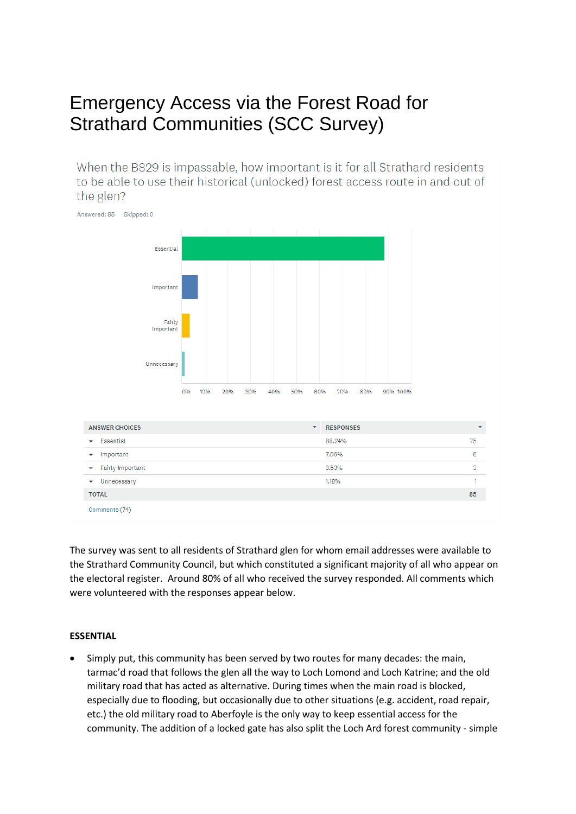# Emergency Access via the Forest Road for Strathard Communities (SCC Survey)

When the B829 is impassable, how important is it for all Strathard residents to be able to use their historical (unlocked) forest access route in and out of the glen?



The survey was sent to all residents of Strathard glen for whom email addresses were available to the Strathard Community Council, but which constituted a significant majority of all who appear on the electoral register. Around 80% of all who received the survey responded. All comments which were volunteered with the responses appear below.

### **ESSENTIAL**

Simply put, this community has been served by two routes for many decades: the main, tarmac'd road that follows the glen all the way to Loch Lomond and Loch Katrine; and the old military road that has acted as alternative. During times when the main road is blocked, especially due to flooding, but occasionally due to other situations (e.g. accident, road repair, etc.) the old military road to Aberfoyle is the only way to keep essential access for the community. The addition of a locked gate has also split the Loch Ard forest community - simple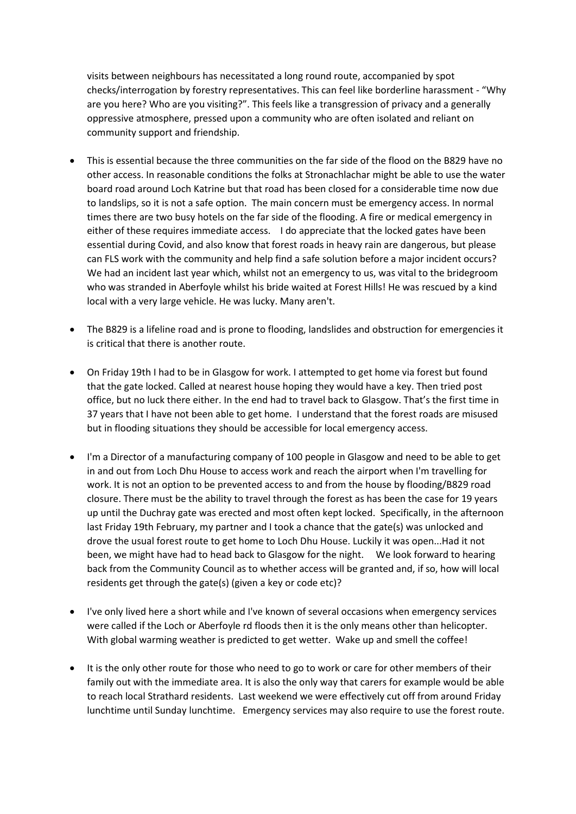visits between neighbours has necessitated a long round route, accompanied by spot checks/interrogation by forestry representatives. This can feel like borderline harassment - "Why are you here? Who are you visiting?". This feels like a transgression of privacy and a generally oppressive atmosphere, pressed upon a community who are often isolated and reliant on community support and friendship.

- This is essential because the three communities on the far side of the flood on the B829 have no other access. In reasonable conditions the folks at Stronachlachar might be able to use the water board road around Loch Katrine but that road has been closed for a considerable time now due to landslips, so it is not a safe option. The main concern must be emergency access. In normal times there are two busy hotels on the far side of the flooding. A fire or medical emergency in either of these requires immediate access. I do appreciate that the locked gates have been essential during Covid, and also know that forest roads in heavy rain are dangerous, but please can FLS work with the community and help find a safe solution before a major incident occurs? We had an incident last year which, whilst not an emergency to us, was vital to the bridegroom who was stranded in Aberfoyle whilst his bride waited at Forest Hills! He was rescued by a kind local with a very large vehicle. He was lucky. Many aren't.
- The B829 is a lifeline road and is prone to flooding, landslides and obstruction for emergencies it is critical that there is another route.
- On Friday 19th I had to be in Glasgow for work. I attempted to get home via forest but found that the gate locked. Called at nearest house hoping they would have a key. Then tried post office, but no luck there either. In the end had to travel back to Glasgow. That's the first time in 37 years that I have not been able to get home. I understand that the forest roads are misused but in flooding situations they should be accessible for local emergency access.
- I'm a Director of a manufacturing company of 100 people in Glasgow and need to be able to get in and out from Loch Dhu House to access work and reach the airport when I'm travelling for work. It is not an option to be prevented access to and from the house by flooding/B829 road closure. There must be the ability to travel through the forest as has been the case for 19 years up until the Duchray gate was erected and most often kept locked. Specifically, in the afternoon last Friday 19th February, my partner and I took a chance that the gate(s) was unlocked and drove the usual forest route to get home to Loch Dhu House. Luckily it was open...Had it not been, we might have had to head back to Glasgow for the night. We look forward to hearing back from the Community Council as to whether access will be granted and, if so, how will local residents get through the gate(s) (given a key or code etc)?
- I've only lived here a short while and I've known of several occasions when emergency services were called if the Loch or Aberfoyle rd floods then it is the only means other than helicopter. With global warming weather is predicted to get wetter. Wake up and smell the coffee!
- It is the only other route for those who need to go to work or care for other members of their family out with the immediate area. It is also the only way that carers for example would be able to reach local Strathard residents. Last weekend we were effectively cut off from around Friday lunchtime until Sunday lunchtime. Emergency services may also require to use the forest route.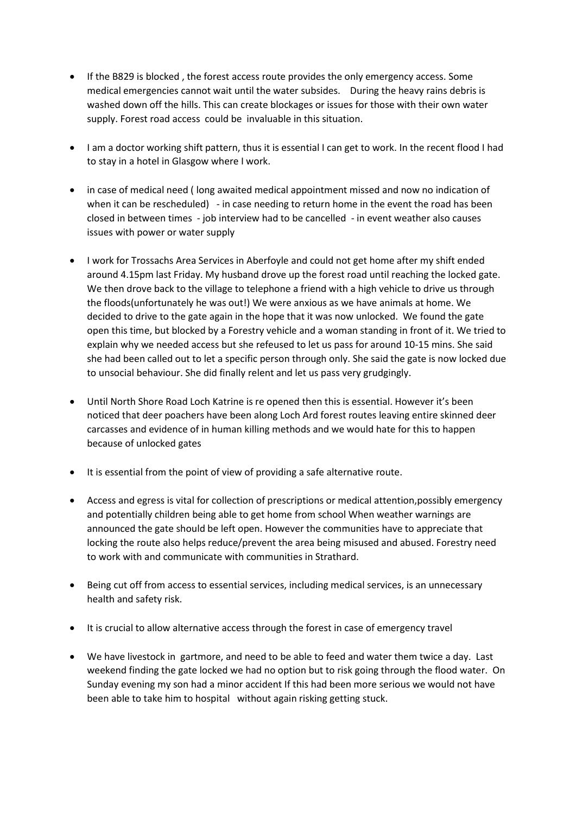- If the B829 is blocked , the forest access route provides the only emergency access. Some medical emergencies cannot wait until the water subsides. During the heavy rains debris is washed down off the hills. This can create blockages or issues for those with their own water supply. Forest road access could be invaluable in this situation.
- I am a doctor working shift pattern, thus it is essential I can get to work. In the recent flood I had to stay in a hotel in Glasgow where I work.
- in case of medical need ( long awaited medical appointment missed and now no indication of when it can be rescheduled) - in case needing to return home in the event the road has been closed in between times - job interview had to be cancelled - in event weather also causes issues with power or water supply
- I work for Trossachs Area Services in Aberfoyle and could not get home after my shift ended around 4.15pm last Friday. My husband drove up the forest road until reaching the locked gate. We then drove back to the village to telephone a friend with a high vehicle to drive us through the floods(unfortunately he was out!) We were anxious as we have animals at home. We decided to drive to the gate again in the hope that it was now unlocked. We found the gate open this time, but blocked by a Forestry vehicle and a woman standing in front of it. We tried to explain why we needed access but she refeused to let us pass for around 10-15 mins. She said she had been called out to let a specific person through only. She said the gate is now locked due to unsocial behaviour. She did finally relent and let us pass very grudgingly.
- Until North Shore Road Loch Katrine is re opened then this is essential. However it's been noticed that deer poachers have been along Loch Ard forest routes leaving entire skinned deer carcasses and evidence of in human killing methods and we would hate for this to happen because of unlocked gates
- It is essential from the point of view of providing a safe alternative route.
- Access and egress is vital for collection of prescriptions or medical attention,possibly emergency and potentially children being able to get home from school When weather warnings are announced the gate should be left open. However the communities have to appreciate that locking the route also helps reduce/prevent the area being misused and abused. Forestry need to work with and communicate with communities in Strathard.
- Being cut off from access to essential services, including medical services, is an unnecessary health and safety risk.
- It is crucial to allow alternative access through the forest in case of emergency travel
- We have livestock in gartmore, and need to be able to feed and water them twice a day. Last weekend finding the gate locked we had no option but to risk going through the flood water. On Sunday evening my son had a minor accident If this had been more serious we would not have been able to take him to hospital without again risking getting stuck.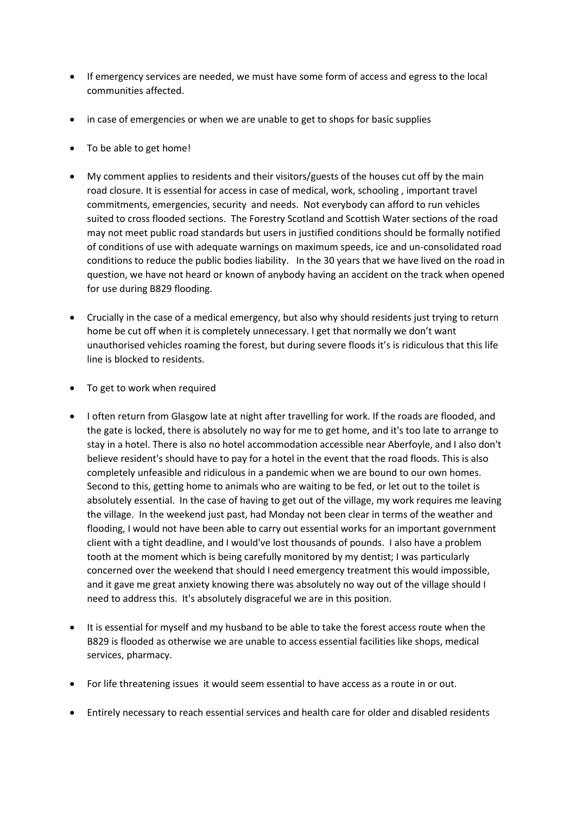- If emergency services are needed, we must have some form of access and egress to the local communities affected.
- in case of emergencies or when we are unable to get to shops for basic supplies
- To be able to get home!
- My comment applies to residents and their visitors/guests of the houses cut off by the main road closure. It is essential for access in case of medical, work, schooling , important travel commitments, emergencies, security and needs. Not everybody can afford to run vehicles suited to cross flooded sections. The Forestry Scotland and Scottish Water sections of the road may not meet public road standards but users in justified conditions should be formally notified of conditions of use with adequate warnings on maximum speeds, ice and un-consolidated road conditions to reduce the public bodies liability. In the 30 years that we have lived on the road in question, we have not heard or known of anybody having an accident on the track when opened for use during B829 flooding.
- Crucially in the case of a medical emergency, but also why should residents just trying to return home be cut off when it is completely unnecessary. I get that normally we don't want unauthorised vehicles roaming the forest, but during severe floods it's is ridiculous that this life line is blocked to residents.
- To get to work when required
- I often return from Glasgow late at night after travelling for work. If the roads are flooded, and the gate is locked, there is absolutely no way for me to get home, and it's too late to arrange to stay in a hotel. There is also no hotel accommodation accessible near Aberfoyle, and I also don't believe resident's should have to pay for a hotel in the event that the road floods. This is also completely unfeasible and ridiculous in a pandemic when we are bound to our own homes. Second to this, getting home to animals who are waiting to be fed, or let out to the toilet is absolutely essential. In the case of having to get out of the village, my work requires me leaving the village. In the weekend just past, had Monday not been clear in terms of the weather and flooding, I would not have been able to carry out essential works for an important government client with a tight deadline, and I would've lost thousands of pounds. I also have a problem tooth at the moment which is being carefully monitored by my dentist; I was particularly concerned over the weekend that should I need emergency treatment this would impossible, and it gave me great anxiety knowing there was absolutely no way out of the village should I need to address this. It's absolutely disgraceful we are in this position.
- It is essential for myself and my husband to be able to take the forest access route when the B829 is flooded as otherwise we are unable to access essential facilities like shops, medical services, pharmacy.
- For life threatening issues it would seem essential to have access as a route in or out.
- Entirely necessary to reach essential services and health care for older and disabled residents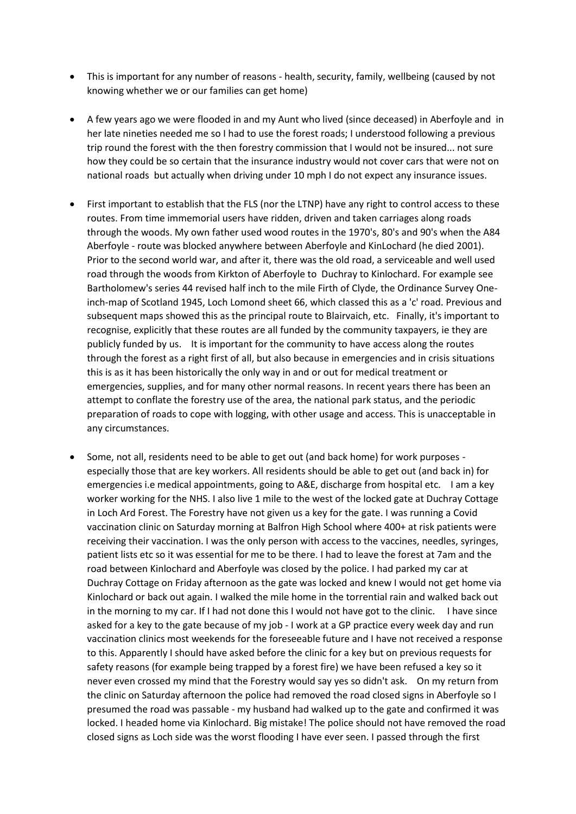- This is important for any number of reasons health, security, family, wellbeing (caused by not knowing whether we or our families can get home)
- A few years ago we were flooded in and my Aunt who lived (since deceased) in Aberfoyle and in her late nineties needed me so I had to use the forest roads; I understood following a previous trip round the forest with the then forestry commission that I would not be insured... not sure how they could be so certain that the insurance industry would not cover cars that were not on national roads but actually when driving under 10 mph I do not expect any insurance issues.
- First important to establish that the FLS (nor the LTNP) have any right to control access to these routes. From time immemorial users have ridden, driven and taken carriages along roads through the woods. My own father used wood routes in the 1970's, 80's and 90's when the A84 Aberfoyle - route was blocked anywhere between Aberfoyle and KinLochard (he died 2001). Prior to the second world war, and after it, there was the old road, a serviceable and well used road through the woods from Kirkton of Aberfoyle to Duchray to Kinlochard. For example see Bartholomew's series 44 revised half inch to the mile Firth of Clyde, the Ordinance Survey Oneinch-map of Scotland 1945, Loch Lomond sheet 66, which classed this as a 'c' road. Previous and subsequent maps showed this as the principal route to Blairvaich, etc. Finally, it's important to recognise, explicitly that these routes are all funded by the community taxpayers, ie they are publicly funded by us. It is important for the community to have access along the routes through the forest as a right first of all, but also because in emergencies and in crisis situations this is as it has been historically the only way in and or out for medical treatment or emergencies, supplies, and for many other normal reasons. In recent years there has been an attempt to conflate the forestry use of the area, the national park status, and the periodic preparation of roads to cope with logging, with other usage and access. This is unacceptable in any circumstances.
- Some, not all, residents need to be able to get out (and back home) for work purposes especially those that are key workers. All residents should be able to get out (and back in) for emergencies i.e medical appointments, going to A&E, discharge from hospital etc. I am a key worker working for the NHS. I also live 1 mile to the west of the locked gate at Duchray Cottage in Loch Ard Forest. The Forestry have not given us a key for the gate. I was running a Covid vaccination clinic on Saturday morning at Balfron High School where 400+ at risk patients were receiving their vaccination. I was the only person with access to the vaccines, needles, syringes, patient lists etc so it was essential for me to be there. I had to leave the forest at 7am and the road between Kinlochard and Aberfoyle was closed by the police. I had parked my car at Duchray Cottage on Friday afternoon as the gate was locked and knew I would not get home via Kinlochard or back out again. I walked the mile home in the torrential rain and walked back out in the morning to my car. If I had not done this I would not have got to the clinic. I have since asked for a key to the gate because of my job - I work at a GP practice every week day and run vaccination clinics most weekends for the foreseeable future and I have not received a response to this. Apparently I should have asked before the clinic for a key but on previous requests for safety reasons (for example being trapped by a forest fire) we have been refused a key so it never even crossed my mind that the Forestry would say yes so didn't ask. On my return from the clinic on Saturday afternoon the police had removed the road closed signs in Aberfoyle so I presumed the road was passable - my husband had walked up to the gate and confirmed it was locked. I headed home via Kinlochard. Big mistake! The police should not have removed the road closed signs as Loch side was the worst flooding I have ever seen. I passed through the first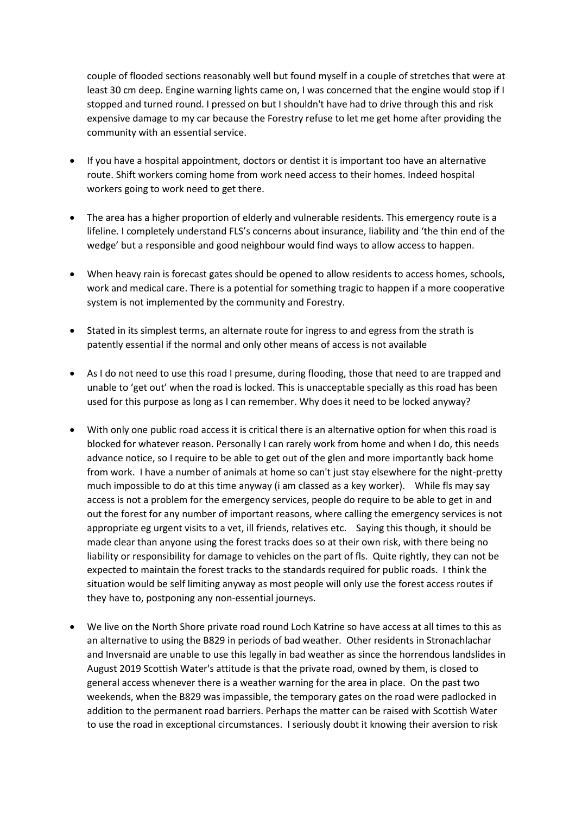couple of flooded sections reasonably well but found myself in a couple of stretches that were at least 30 cm deep. Engine warning lights came on, I was concerned that the engine would stop if I stopped and turned round. I pressed on but I shouldn't have had to drive through this and risk expensive damage to my car because the Forestry refuse to let me get home after providing the community with an essential service.

- If you have a hospital appointment, doctors or dentist it is important too have an alternative route. Shift workers coming home from work need access to their homes. Indeed hospital workers going to work need to get there.
- The area has a higher proportion of elderly and vulnerable residents. This emergency route is a lifeline. I completely understand FLS's concerns about insurance, liability and 'the thin end of the wedge' but a responsible and good neighbour would find ways to allow access to happen.
- When heavy rain is forecast gates should be opened to allow residents to access homes, schools, work and medical care. There is a potential for something tragic to happen if a more cooperative system is not implemented by the community and Forestry.
- Stated in its simplest terms, an alternate route for ingress to and egress from the strath is patently essential if the normal and only other means of access is not available
- As I do not need to use this road I presume, during flooding, those that need to are trapped and unable to 'get out' when the road is locked. This is unacceptable specially as this road has been used for this purpose as long as I can remember. Why does it need to be locked anyway?
- With only one public road access it is critical there is an alternative option for when this road is blocked for whatever reason. Personally I can rarely work from home and when I do, this needs advance notice, so I require to be able to get out of the glen and more importantly back home from work. I have a number of animals at home so can't just stay elsewhere for the night-pretty much impossible to do at this time anyway (i am classed as a key worker). While fls may say access is not a problem for the emergency services, people do require to be able to get in and out the forest for any number of important reasons, where calling the emergency services is not appropriate eg urgent visits to a vet, ill friends, relatives etc. Saying this though, it should be made clear than anyone using the forest tracks does so at their own risk, with there being no liability or responsibility for damage to vehicles on the part of fls. Quite rightly, they can not be expected to maintain the forest tracks to the standards required for public roads. I think the situation would be self limiting anyway as most people will only use the forest access routes if they have to, postponing any non-essential journeys.
- We live on the North Shore private road round Loch Katrine so have access at all times to this as an alternative to using the B829 in periods of bad weather. Other residents in Stronachlachar and Inversnaid are unable to use this legally in bad weather as since the horrendous landslides in August 2019 Scottish Water's attitude is that the private road, owned by them, is closed to general access whenever there is a weather warning for the area in place. On the past two weekends, when the B829 was impassible, the temporary gates on the road were padlocked in addition to the permanent road barriers. Perhaps the matter can be raised with Scottish Water to use the road in exceptional circumstances. I seriously doubt it knowing their aversion to risk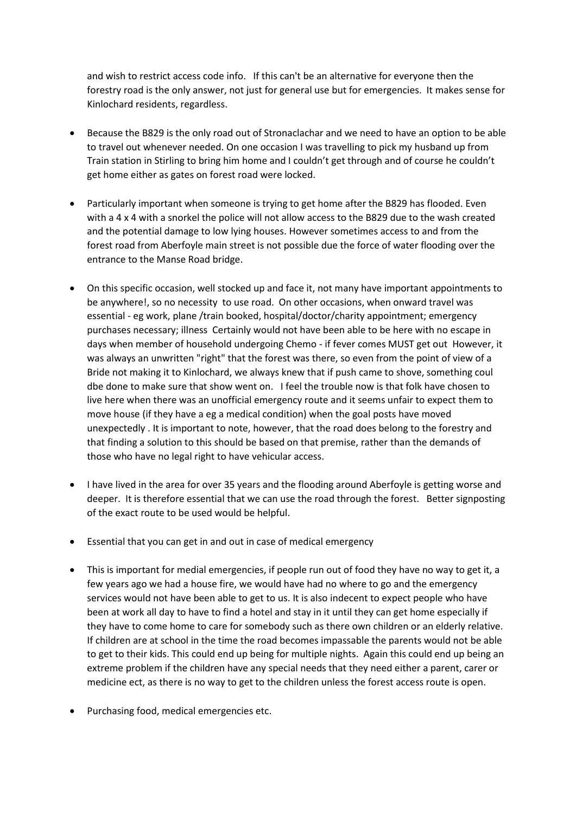and wish to restrict access code info. If this can't be an alternative for everyone then the forestry road is the only answer, not just for general use but for emergencies. It makes sense for Kinlochard residents, regardless.

- Because the B829 is the only road out of Stronaclachar and we need to have an option to be able to travel out whenever needed. On one occasion I was travelling to pick my husband up from Train station in Stirling to bring him home and I couldn't get through and of course he couldn't get home either as gates on forest road were locked.
- Particularly important when someone is trying to get home after the B829 has flooded. Even with a 4 x 4 with a snorkel the police will not allow access to the B829 due to the wash created and the potential damage to low lying houses. However sometimes access to and from the forest road from Aberfoyle main street is not possible due the force of water flooding over the entrance to the Manse Road bridge.
- On this specific occasion, well stocked up and face it, not many have important appointments to be anywhere!, so no necessity to use road. On other occasions, when onward travel was essential - eg work, plane /train booked, hospital/doctor/charity appointment; emergency purchases necessary; illness Certainly would not have been able to be here with no escape in days when member of household undergoing Chemo - if fever comes MUST get out However, it was always an unwritten "right" that the forest was there, so even from the point of view of a Bride not making it to Kinlochard, we always knew that if push came to shove, something coul dbe done to make sure that show went on. I feel the trouble now is that folk have chosen to live here when there was an unofficial emergency route and it seems unfair to expect them to move house (if they have a eg a medical condition) when the goal posts have moved unexpectedly . It is important to note, however, that the road does belong to the forestry and that finding a solution to this should be based on that premise, rather than the demands of those who have no legal right to have vehicular access.
- I have lived in the area for over 35 years and the flooding around Aberfoyle is getting worse and deeper. It is therefore essential that we can use the road through the forest. Better signposting of the exact route to be used would be helpful.
- Essential that you can get in and out in case of medical emergency
- This is important for medial emergencies, if people run out of food they have no way to get it, a few years ago we had a house fire, we would have had no where to go and the emergency services would not have been able to get to us. It is also indecent to expect people who have been at work all day to have to find a hotel and stay in it until they can get home especially if they have to come home to care for somebody such as there own children or an elderly relative. If children are at school in the time the road becomes impassable the parents would not be able to get to their kids. This could end up being for multiple nights. Again this could end up being an extreme problem if the children have any special needs that they need either a parent, carer or medicine ect, as there is no way to get to the children unless the forest access route is open.
- Purchasing food, medical emergencies etc.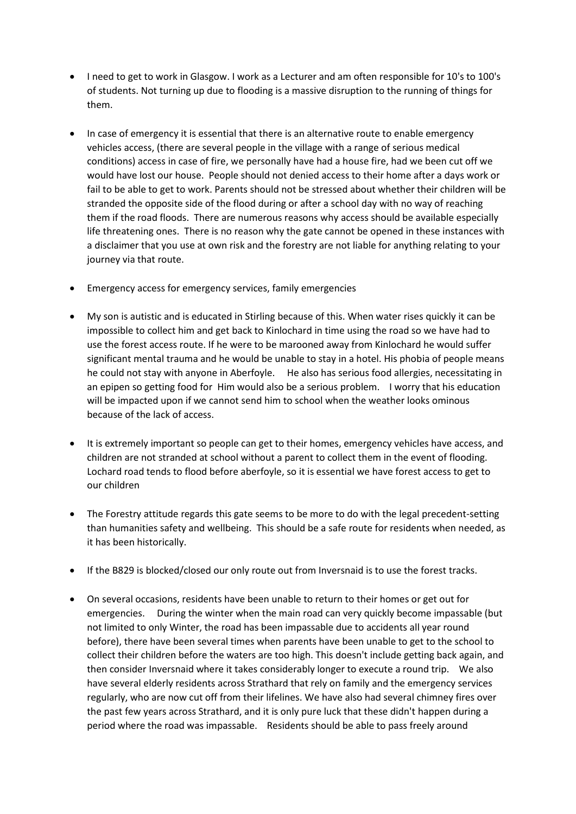- I need to get to work in Glasgow. I work as a Lecturer and am often responsible for 10's to 100's of students. Not turning up due to flooding is a massive disruption to the running of things for them.
- In case of emergency it is essential that there is an alternative route to enable emergency vehicles access, (there are several people in the village with a range of serious medical conditions) access in case of fire, we personally have had a house fire, had we been cut off we would have lost our house. People should not denied access to their home after a days work or fail to be able to get to work. Parents should not be stressed about whether their children will be stranded the opposite side of the flood during or after a school day with no way of reaching them if the road floods. There are numerous reasons why access should be available especially life threatening ones. There is no reason why the gate cannot be opened in these instances with a disclaimer that you use at own risk and the forestry are not liable for anything relating to your journey via that route.
- Emergency access for emergency services, family emergencies
- My son is autistic and is educated in Stirling because of this. When water rises quickly it can be impossible to collect him and get back to Kinlochard in time using the road so we have had to use the forest access route. If he were to be marooned away from Kinlochard he would suffer significant mental trauma and he would be unable to stay in a hotel. His phobia of people means he could not stay with anyone in Aberfoyle. He also has serious food allergies, necessitating in an epipen so getting food for Him would also be a serious problem. I worry that his education will be impacted upon if we cannot send him to school when the weather looks ominous because of the lack of access.
- It is extremely important so people can get to their homes, emergency vehicles have access, and children are not stranded at school without a parent to collect them in the event of flooding. Lochard road tends to flood before aberfoyle, so it is essential we have forest access to get to our children
- The Forestry attitude regards this gate seems to be more to do with the legal precedent-setting than humanities safety and wellbeing. This should be a safe route for residents when needed, as it has been historically.
- If the B829 is blocked/closed our only route out from Inversnaid is to use the forest tracks.
- On several occasions, residents have been unable to return to their homes or get out for emergencies. During the winter when the main road can very quickly become impassable (but not limited to only Winter, the road has been impassable due to accidents all year round before), there have been several times when parents have been unable to get to the school to collect their children before the waters are too high. This doesn't include getting back again, and then consider Inversnaid where it takes considerably longer to execute a round trip. We also have several elderly residents across Strathard that rely on family and the emergency services regularly, who are now cut off from their lifelines. We have also had several chimney fires over the past few years across Strathard, and it is only pure luck that these didn't happen during a period where the road was impassable. Residents should be able to pass freely around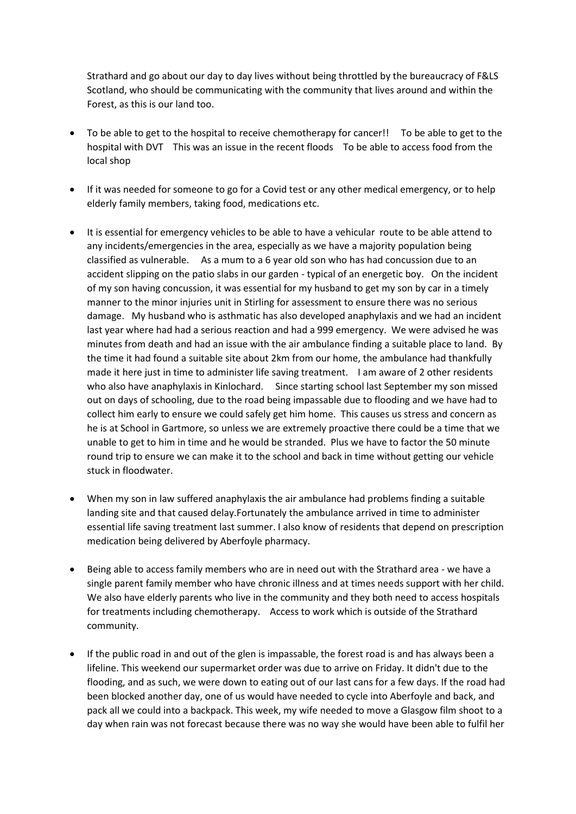Strathard and go about our day to day lives without being throttled by the bureaucracy of F&LS Scotland, who should be communicating with the community that lives around and within the Forest, as this is our land too.

- To be able to get to the hospital to receive chemotherapy for cancer!! To be able to get to the hospital with DVT This was an issue in the recent floods To be able to access food from the local shop
- If it was needed for someone to go for a Covid test or any other medical emergency, or to help elderly family members, taking food, medications etc.
- It is essential for emergency vehicles to be able to have a vehicular route to be able attend to any incidents/emergencies in the area, especially as we have a majority population being classified as vulnerable. As a mum to a 6 year old son who has had concussion due to an accident slipping on the patio slabs in our garden - typical of an energetic boy. On the incident of my son having concussion, it was essential for my husband to get my son by car in a timely manner to the minor injuries unit in Stirling for assessment to ensure there was no serious damage. My husband who is asthmatic has also developed anaphylaxis and we had an incident last year where had had a serious reaction and had a 999 emergency. We were advised he was minutes from death and had an issue with the air ambulance finding a suitable place to land. By the time it had found a suitable site about 2km from our home, the ambulance had thankfully made it here just in time to administer life saving treatment. I am aware of 2 other residents who also have anaphylaxis in Kinlochard. Since starting school last September my son missed out on days of schooling, due to the road being impassable due to flooding and we have had to collect him early to ensure we could safely get him home. This causes us stress and concern as he is at School in Gartmore, so unless we are extremely proactive there could be a time that we unable to get to him in time and he would be stranded. Plus we have to factor the 50 minute round trip to ensure we can make it to the school and back in time without getting our vehicle stuck in floodwater.
- When my son in law suffered anaphylaxis the air ambulance had problems finding a suitable landing site and that caused delay.Fortunately the ambulance arrived in time to administer essential life saving treatment last summer. I also know of residents that depend on prescription medication being delivered by Aberfoyle pharmacy.
- Being able to access family members who are in need out with the Strathard area we have a single parent family member who have chronic illness and at times needs support with her child. We also have elderly parents who live in the community and they both need to access hospitals for treatments including chemotherapy. Access to work which is outside of the Strathard community.
- If the public road in and out of the glen is impassable, the forest road is and has always been a lifeline. This weekend our supermarket order was due to arrive on Friday. It didn't due to the flooding, and as such, we were down to eating out of our last cans for a few days. If the road had been blocked another day, one of us would have needed to cycle into Aberfoyle and back, and pack all we could into a backpack. This week, my wife needed to move a Glasgow film shoot to a day when rain was not forecast because there was no way she would have been able to fulfil her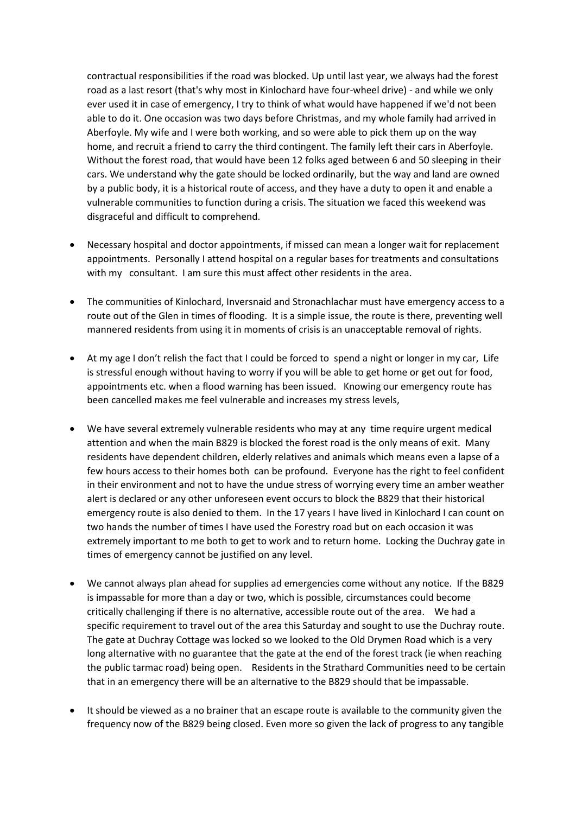contractual responsibilities if the road was blocked. Up until last year, we always had the forest road as a last resort (that's why most in Kinlochard have four-wheel drive) - and while we only ever used it in case of emergency, I try to think of what would have happened if we'd not been able to do it. One occasion was two days before Christmas, and my whole family had arrived in Aberfoyle. My wife and I were both working, and so were able to pick them up on the way home, and recruit a friend to carry the third contingent. The family left their cars in Aberfoyle. Without the forest road, that would have been 12 folks aged between 6 and 50 sleeping in their cars. We understand why the gate should be locked ordinarily, but the way and land are owned by a public body, it is a historical route of access, and they have a duty to open it and enable a vulnerable communities to function during a crisis. The situation we faced this weekend was disgraceful and difficult to comprehend.

- Necessary hospital and doctor appointments, if missed can mean a longer wait for replacement appointments. Personally I attend hospital on a regular bases for treatments and consultations with my consultant. I am sure this must affect other residents in the area.
- The communities of Kinlochard, Inversnaid and Stronachlachar must have emergency access to a route out of the Glen in times of flooding. It is a simple issue, the route is there, preventing well mannered residents from using it in moments of crisis is an unacceptable removal of rights.
- At my age I don't relish the fact that I could be forced to spend a night or longer in my car, Life is stressful enough without having to worry if you will be able to get home or get out for food, appointments etc. when a flood warning has been issued. Knowing our emergency route has been cancelled makes me feel vulnerable and increases my stress levels,
- We have several extremely vulnerable residents who may at any time require urgent medical attention and when the main B829 is blocked the forest road is the only means of exit. Many residents have dependent children, elderly relatives and animals which means even a lapse of a few hours access to their homes both can be profound. Everyone has the right to feel confident in their environment and not to have the undue stress of worrying every time an amber weather alert is declared or any other unforeseen event occurs to block the B829 that their historical emergency route is also denied to them. In the 17 years I have lived in Kinlochard I can count on two hands the number of times I have used the Forestry road but on each occasion it was extremely important to me both to get to work and to return home. Locking the Duchray gate in times of emergency cannot be justified on any level.
- We cannot always plan ahead for supplies ad emergencies come without any notice. If the B829 is impassable for more than a day or two, which is possible, circumstances could become critically challenging if there is no alternative, accessible route out of the area. We had a specific requirement to travel out of the area this Saturday and sought to use the Duchray route. The gate at Duchray Cottage was locked so we looked to the Old Drymen Road which is a very long alternative with no guarantee that the gate at the end of the forest track (ie when reaching the public tarmac road) being open. Residents in the Strathard Communities need to be certain that in an emergency there will be an alternative to the B829 should that be impassable.
- It should be viewed as a no brainer that an escape route is available to the community given the frequency now of the B829 being closed. Even more so given the lack of progress to any tangible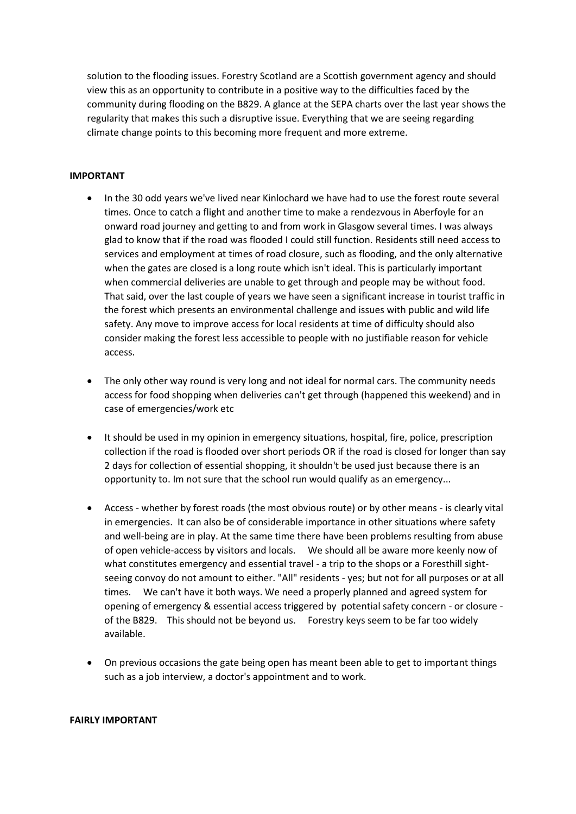solution to the flooding issues. Forestry Scotland are a Scottish government agency and should view this as an opportunity to contribute in a positive way to the difficulties faced by the community during flooding on the B829. A glance at the SEPA charts over the last year shows the regularity that makes this such a disruptive issue. Everything that we are seeing regarding climate change points to this becoming more frequent and more extreme.

#### **IMPORTANT**

- In the 30 odd years we've lived near Kinlochard we have had to use the forest route several times. Once to catch a flight and another time to make a rendezvous in Aberfoyle for an onward road journey and getting to and from work in Glasgow several times. I was always glad to know that if the road was flooded I could still function. Residents still need access to services and employment at times of road closure, such as flooding, and the only alternative when the gates are closed is a long route which isn't ideal. This is particularly important when commercial deliveries are unable to get through and people may be without food. That said, over the last couple of years we have seen a significant increase in tourist traffic in the forest which presents an environmental challenge and issues with public and wild life safety. Any move to improve access for local residents at time of difficulty should also consider making the forest less accessible to people with no justifiable reason for vehicle access.
- The only other way round is very long and not ideal for normal cars. The community needs access for food shopping when deliveries can't get through (happened this weekend) and in case of emergencies/work etc
- It should be used in my opinion in emergency situations, hospital, fire, police, prescription collection if the road is flooded over short periods OR if the road is closed for longer than say 2 days for collection of essential shopping, it shouldn't be used just because there is an opportunity to. Im not sure that the school run would qualify as an emergency...
- Access whether by forest roads (the most obvious route) or by other means is clearly vital in emergencies. It can also be of considerable importance in other situations where safety and well-being are in play. At the same time there have been problems resulting from abuse of open vehicle-access by visitors and locals. We should all be aware more keenly now of what constitutes emergency and essential travel - a trip to the shops or a Foresthill sightseeing convoy do not amount to either. "All" residents - yes; but not for all purposes or at all times. We can't have it both ways. We need a properly planned and agreed system for opening of emergency & essential access triggered by potential safety concern - or closure of the B829. This should not be beyond us. Forestry keys seem to be far too widely available.
- On previous occasions the gate being open has meant been able to get to important things such as a job interview, a doctor's appointment and to work.

#### **FAIRLY IMPORTANT**